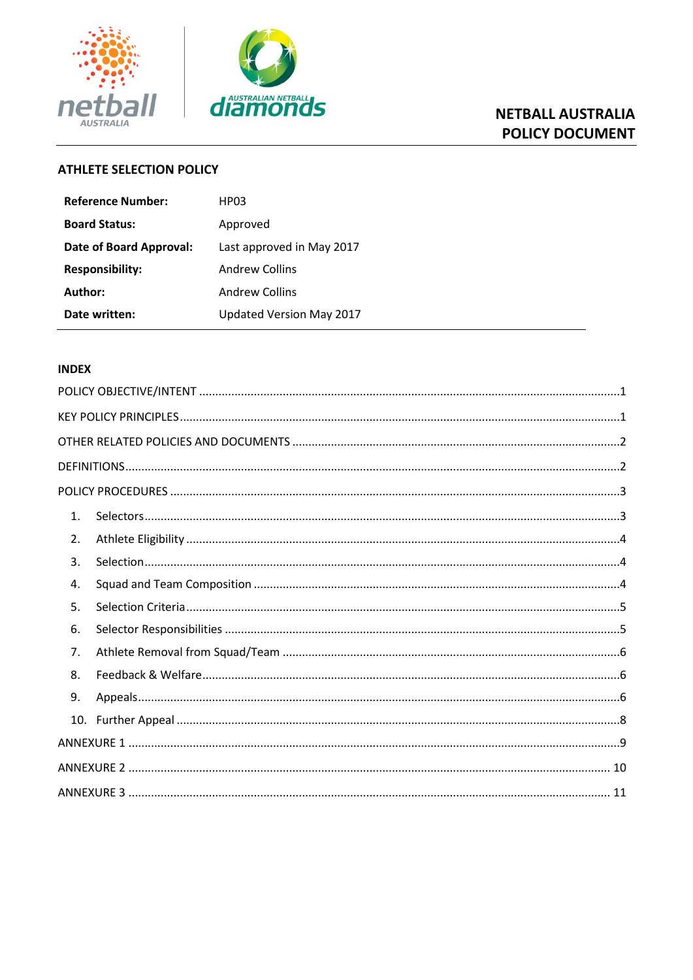



# **NETBALL AUSTRALIA POLICY DOCUMENT**

# **ATHLETE SELECTION POLICY**

| Reference Number:       | HP <sub>03</sub>          |  |
|-------------------------|---------------------------|--|
| <b>Board Status:</b>    | Approved                  |  |
| Date of Board Approval: | Last approved in May 2017 |  |
| <b>Responsibility:</b>  | <b>Andrew Collins</b>     |  |
| Author:                 | <b>Andrew Collins</b>     |  |
| Date written:           | Updated Version May 2017  |  |

## **INDEX**

| 1. |  |
|----|--|
| 2. |  |
| 3. |  |
| 4. |  |
| 5. |  |
| 6. |  |
| 7. |  |
| 8. |  |
| 9. |  |
|    |  |
|    |  |
|    |  |
|    |  |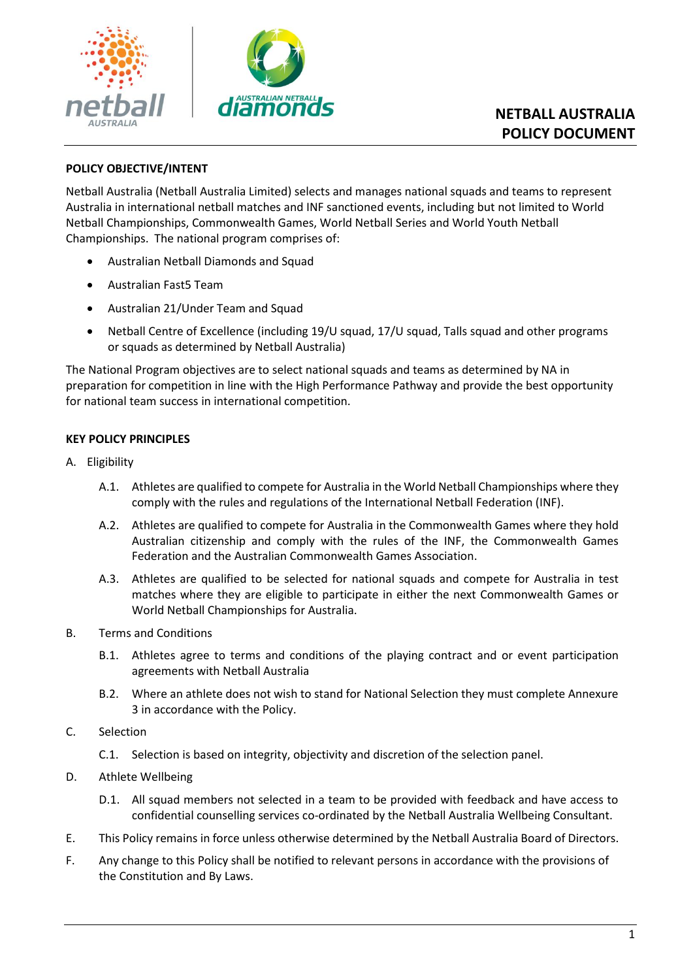

## <span id="page-1-0"></span>**POLICY OBJECTIVE/INTENT**

Netball Australia (Netball Australia Limited) selects and manages national squads and teams to represent Australia in international netball matches and INF sanctioned events, including but not limited to World Netball Championships, Commonwealth Games, World Netball Series and World Youth Netball Championships. The national program comprises of:

- Australian Netball Diamonds and Squad
- Australian Fast5 Team
- Australian 21/Under Team and Squad
- Netball Centre of Excellence (including 19/U squad, 17/U squad, Talls squad and other programs or squads as determined by Netball Australia)

The National Program objectives are to select national squads and teams as determined by NA in preparation for competition in line with the High Performance Pathway and provide the best opportunity for national team success in international competition.

## <span id="page-1-1"></span>**KEY POLICY PRINCIPLES**

- A. Eligibility
	- A.1. Athletes are qualified to compete for Australia in the World Netball Championships where they comply with the rules and regulations of the International Netball Federation (INF).
	- A.2. Athletes are qualified to compete for Australia in the Commonwealth Games where they hold Australian citizenship and comply with the rules of the INF, the Commonwealth Games Federation and the Australian Commonwealth Games Association.
	- A.3. Athletes are qualified to be selected for national squads and compete for Australia in test matches where they are eligible to participate in either the next Commonwealth Games or World Netball Championships for Australia.
- B. Terms and Conditions
	- B.1. Athletes agree to terms and conditions of the playing contract and or event participation agreements with Netball Australia
	- B.2. Where an athlete does not wish to stand for National Selection they must complete Annexure 3 in accordance with the Policy.
- C. Selection
	- C.1. Selection is based on integrity, objectivity and discretion of the selection panel.
- D. Athlete Wellbeing
	- D.1. All squad members not selected in a team to be provided with feedback and have access to confidential counselling services co-ordinated by the Netball Australia Wellbeing Consultant.
- E. This Policy remains in force unless otherwise determined by the Netball Australia Board of Directors.
- F. Any change to this Policy shall be notified to relevant persons in accordance with the provisions of the Constitution and By Laws.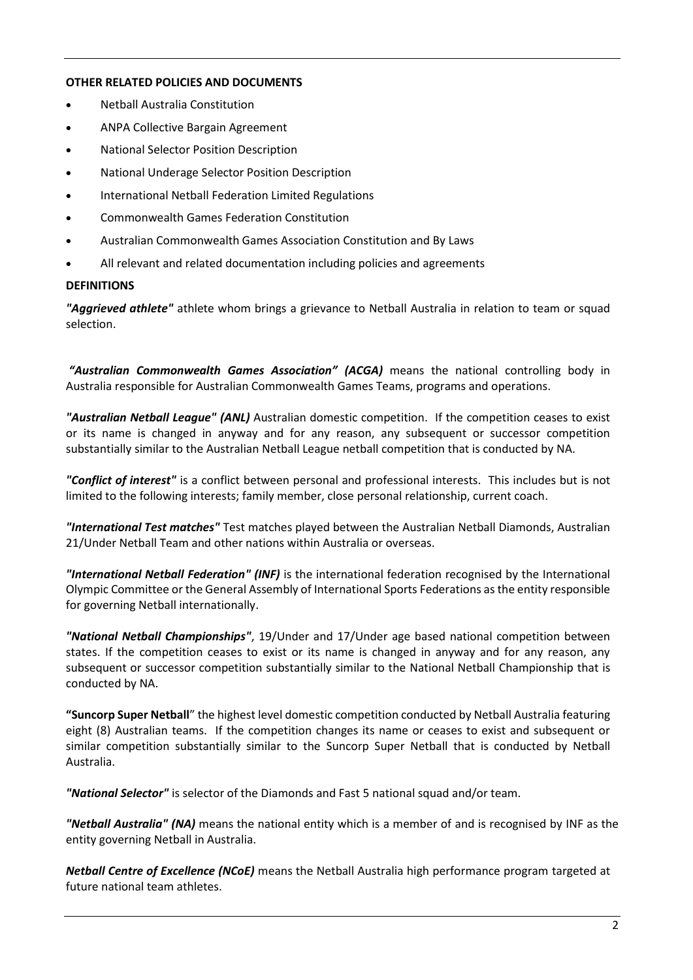## <span id="page-2-0"></span>**OTHER RELATED POLICIES AND DOCUMENTS**

- Netball Australia Constitution
- ANPA Collective Bargain Agreement
- National Selector Position Description
- National Underage Selector Position Description
- International Netball Federation Limited Regulations
- Commonwealth Games Federation Constitution
- Australian Commonwealth Games Association Constitution and By Laws
- <span id="page-2-1"></span>All relevant and related documentation including policies and agreements

#### **DEFINITIONS**

*"Aggrieved athlete"* athlete whom brings a grievance to Netball Australia in relation to team or squad selection.

*"Australian Commonwealth Games Association" (ACGA)* means the national controlling body in Australia responsible for Australian Commonwealth Games Teams, programs and operations.

*"Australian Netball League" (ANL)* Australian domestic competition. If the competition ceases to exist or its name is changed in anyway and for any reason, any subsequent or successor competition substantially similar to the Australian Netball League netball competition that is conducted by NA.

*"Conflict of interest"* is a conflict between personal and professional interests. This includes but is not limited to the following interests; family member, close personal relationship, current coach.

*"International Test matches"* Test matches played between the Australian Netball Diamonds, Australian 21/Under Netball Team and other nations within Australia or overseas.

*"International Netball Federation" (INF)* is the international federation recognised by the International Olympic Committee or the General Assembly of International Sports Federations as the entity responsible for governing Netball internationally.

*"National Netball Championships"*, 19/Under and 17/Under age based national competition between states. If the competition ceases to exist or its name is changed in anyway and for any reason, any subsequent or successor competition substantially similar to the National Netball Championship that is conducted by NA.

**"Suncorp Super Netball**" the highest level domestic competition conducted by Netball Australia featuring eight (8) Australian teams. If the competition changes its name or ceases to exist and subsequent or similar competition substantially similar to the Suncorp Super Netball that is conducted by Netball Australia.

*"National Selector"* is selector of the Diamonds and Fast 5 national squad and/or team.

*"Netball Australia" (NA)* means the national entity which is a member of and is recognised by INF as the entity governing Netball in Australia.

*Netball Centre of Excellence (NCoE)* means the Netball Australia high performance program targeted at future national team athletes.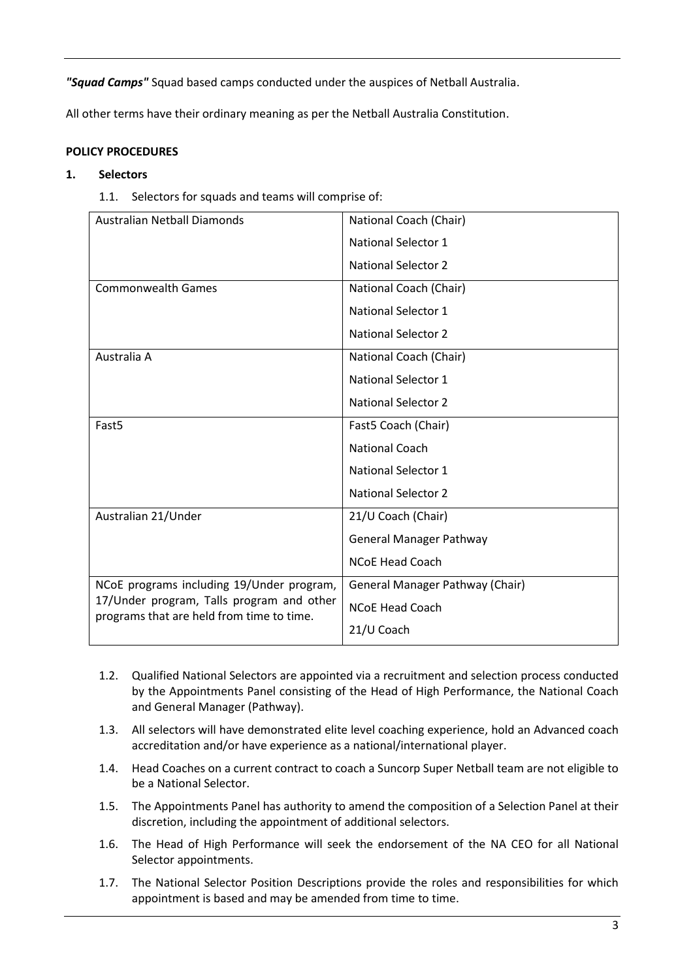*"Squad Camps"* Squad based camps conducted under the auspices of Netball Australia.

<span id="page-3-0"></span>All other terms have their ordinary meaning as per the Netball Australia Constitution.

## **POLICY PROCEDURES**

#### <span id="page-3-1"></span>**1. Selectors**

1.1. Selectors for squads and teams will comprise of:

| Australian Netball Diamonds                                                                                                         | National Coach (Chair)          |
|-------------------------------------------------------------------------------------------------------------------------------------|---------------------------------|
|                                                                                                                                     | <b>National Selector 1</b>      |
|                                                                                                                                     | <b>National Selector 2</b>      |
| <b>Commonwealth Games</b>                                                                                                           | National Coach (Chair)          |
|                                                                                                                                     | <b>National Selector 1</b>      |
|                                                                                                                                     | <b>National Selector 2</b>      |
| Australia A                                                                                                                         | National Coach (Chair)          |
|                                                                                                                                     | <b>National Selector 1</b>      |
|                                                                                                                                     | <b>National Selector 2</b>      |
| Fast <sub>5</sub>                                                                                                                   | Fast5 Coach (Chair)             |
|                                                                                                                                     | <b>National Coach</b>           |
|                                                                                                                                     | <b>National Selector 1</b>      |
|                                                                                                                                     | <b>National Selector 2</b>      |
| Australian 21/Under                                                                                                                 | 21/U Coach (Chair)              |
|                                                                                                                                     | <b>General Manager Pathway</b>  |
|                                                                                                                                     | <b>NCoE Head Coach</b>          |
| NCoE programs including 19/Under program,<br>17/Under program, Talls program and other<br>programs that are held from time to time. | General Manager Pathway (Chair) |
|                                                                                                                                     | <b>NCoE Head Coach</b>          |
|                                                                                                                                     | 21/U Coach                      |

- 1.2. Qualified National Selectors are appointed via a recruitment and selection process conducted by the Appointments Panel consisting of the Head of High Performance, the National Coach and General Manager (Pathway).
- 1.3. All selectors will have demonstrated elite level coaching experience, hold an Advanced coach accreditation and/or have experience as a national/international player.
- 1.4. Head Coaches on a current contract to coach a Suncorp Super Netball team are not eligible to be a National Selector.
- 1.5. The Appointments Panel has authority to amend the composition of a Selection Panel at their discretion, including the appointment of additional selectors.
- 1.6. The Head of High Performance will seek the endorsement of the NA CEO for all National Selector appointments.
- 1.7. The National Selector Position Descriptions provide the roles and responsibilities for which appointment is based and may be amended from time to time.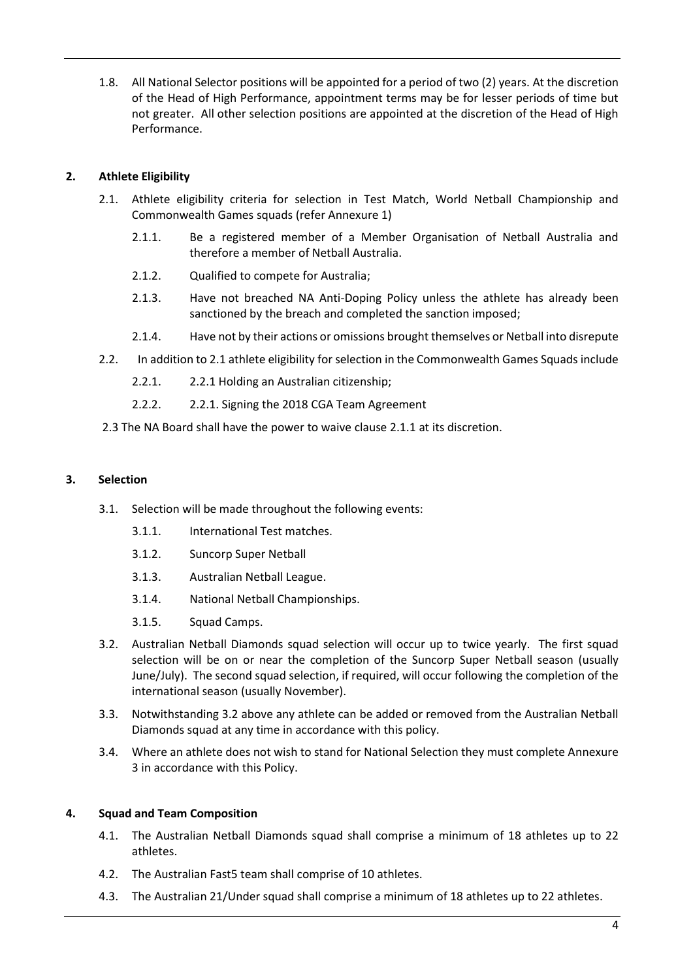1.8. All National Selector positions will be appointed for a period of two (2) years. At the discretion of the Head of High Performance, appointment terms may be for lesser periods of time but not greater. All other selection positions are appointed at the discretion of the Head of High Performance.

## <span id="page-4-0"></span>**2. Athlete Eligibility**

- 2.1. Athlete eligibility criteria for selection in Test Match, World Netball Championship and Commonwealth Games squads (refer Annexure 1)
	- 2.1.1. Be a registered member of a Member Organisation of Netball Australia and therefore a member of Netball Australia.
	- 2.1.2. Qualified to compete for Australia;
	- 2.1.3. Have not breached NA Anti-Doping Policy unless the athlete has already been sanctioned by the breach and completed the sanction imposed;
	- 2.1.4. Have not by their actions or omissions brought themselves or Netball into disrepute
- <span id="page-4-1"></span>2.2. In addition to 2.1 athlete eligibility for selection in the Commonwealth Games Squads include
	- 2.2.1. 2.2.1 Holding an Australian citizenship;
	- 2.2.2. 2.2.1. Signing the 2018 CGA Team Agreement
- 2.3 The NA Board shall have the power to waive clause 2.1.1 at its discretion.

## **3. Selection**

- 3.1. Selection will be made throughout the following events:
	- 3.1.1. International Test matches.
	- 3.1.2. Suncorp Super Netball
	- 3.1.3. Australian Netball League.
	- 3.1.4. National Netball Championships.
	- 3.1.5. Squad Camps.
- 3.2. Australian Netball Diamonds squad selection will occur up to twice yearly. The first squad selection will be on or near the completion of the Suncorp Super Netball season (usually June/July). The second squad selection, if required, will occur following the completion of the international season (usually November).
- 3.3. Notwithstanding 3.2 above any athlete can be added or removed from the Australian Netball Diamonds squad at any time in accordance with this policy.
- 3.4. Where an athlete does not wish to stand for National Selection they must complete Annexure 3 in accordance with this Policy.

#### <span id="page-4-2"></span>**4. Squad and Team Composition**

- 4.1. The Australian Netball Diamonds squad shall comprise a minimum of 18 athletes up to 22 athletes.
- 4.2. The Australian Fast5 team shall comprise of 10 athletes.
- 4.3. The Australian 21/Under squad shall comprise a minimum of 18 athletes up to 22 athletes.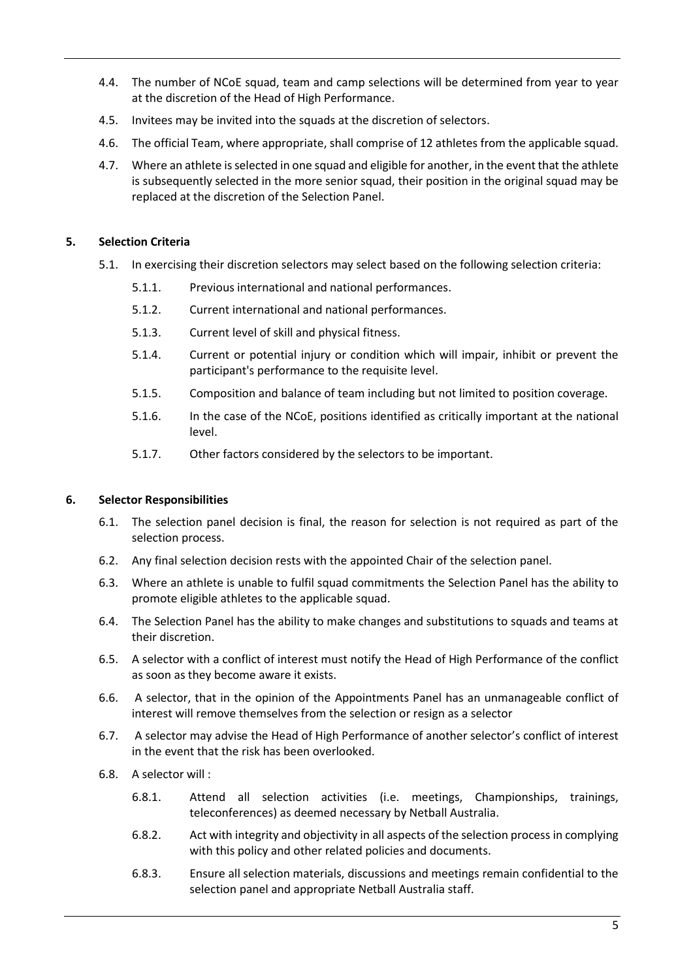- 4.4. The number of NCoE squad, team and camp selections will be determined from year to year at the discretion of the Head of High Performance.
- 4.5. Invitees may be invited into the squads at the discretion of selectors.
- 4.6. The official Team, where appropriate, shall comprise of 12 athletes from the applicable squad.
- 4.7. Where an athlete is selected in one squad and eligible for another, in the event that the athlete is subsequently selected in the more senior squad, their position in the original squad may be replaced at the discretion of the Selection Panel.

## <span id="page-5-0"></span>**5. Selection Criteria**

- 5.1. In exercising their discretion selectors may select based on the following selection criteria:
	- 5.1.1. Previous international and national performances.
	- 5.1.2. Current international and national performances.
	- 5.1.3. Current level of skill and physical fitness.
	- 5.1.4. Current or potential injury or condition which will impair, inhibit or prevent the participant's performance to the requisite level.
	- 5.1.5. Composition and balance of team including but not limited to position coverage.
	- 5.1.6. In the case of the NCoE, positions identified as critically important at the national level.
	- 5.1.7. Other factors considered by the selectors to be important.

## **6. Selector Responsibilities**

- <span id="page-5-1"></span>6.1. The selection panel decision is final, the reason for selection is not required as part of the selection process.
- 6.2. Any final selection decision rests with the appointed Chair of the selection panel.
- 6.3. Where an athlete is unable to fulfil squad commitments the Selection Panel has the ability to promote eligible athletes to the applicable squad.
- 6.4. The Selection Panel has the ability to make changes and substitutions to squads and teams at their discretion.
- 6.5. A selector with a conflict of interest must notify the Head of High Performance of the conflict as soon as they become aware it exists.
- 6.6. A selector, that in the opinion of the Appointments Panel has an unmanageable conflict of interest will remove themselves from the selection or resign as a selector
- 6.7. A selector may advise the Head of High Performance of another selector's conflict of interest in the event that the risk has been overlooked.
- 6.8. A selector will :
	- 6.8.1. Attend all selection activities (i.e. meetings, Championships, trainings, teleconferences) as deemed necessary by Netball Australia.
	- 6.8.2. Act with integrity and objectivity in all aspects of the selection process in complying with this policy and other related policies and documents.
	- 6.8.3. Ensure all selection materials, discussions and meetings remain confidential to the selection panel and appropriate Netball Australia staff.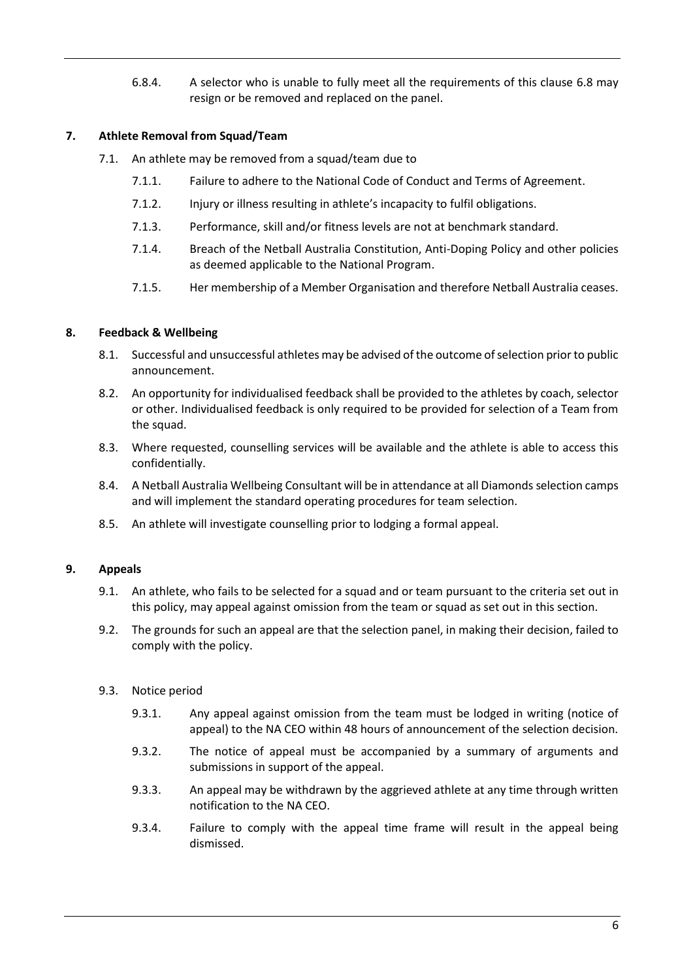6.8.4. A selector who is unable to fully meet all the requirements of this clause 6.8 may resign or be removed and replaced on the panel.

## <span id="page-6-0"></span>**7. Athlete Removal from Squad/Team**

- 7.1. An athlete may be removed from a squad/team due to
	- 7.1.1. Failure to adhere to the National Code of Conduct and Terms of Agreement.
	- 7.1.2. Injury or illness resulting in athlete's incapacity to fulfil obligations.
	- 7.1.3. Performance, skill and/or fitness levels are not at benchmark standard.
	- 7.1.4. Breach of the Netball Australia Constitution, Anti-Doping Policy and other policies as deemed applicable to the National Program.
	- 7.1.5. Her membership of a Member Organisation and therefore Netball Australia ceases.

## <span id="page-6-1"></span>**8. Feedback & Wellbeing**

- 8.1. Successful and unsuccessful athletes may be advised of the outcome of selection prior to public announcement.
- 8.2. An opportunity for individualised feedback shall be provided to the athletes by coach, selector or other. Individualised feedback is only required to be provided for selection of a Team from the squad.
- 8.3. Where requested, counselling services will be available and the athlete is able to access this confidentially.
- 8.4. A Netball Australia Wellbeing Consultant will be in attendance at all Diamonds selection camps and will implement the standard operating procedures for team selection.
- 8.5. An athlete will investigate counselling prior to lodging a formal appeal.

## <span id="page-6-2"></span>**9. Appeals**

- 9.1. An athlete, who fails to be selected for a squad and or team pursuant to the criteria set out in this policy, may appeal against omission from the team or squad as set out in this section.
- 9.2. The grounds for such an appeal are that the selection panel, in making their decision, failed to comply with the policy.
- 9.3. Notice period
	- 9.3.1. Any appeal against omission from the team must be lodged in writing (notice of appeal) to the NA CEO within 48 hours of announcement of the selection decision.
	- 9.3.2. The notice of appeal must be accompanied by a summary of arguments and submissions in support of the appeal.
	- 9.3.3. An appeal may be withdrawn by the aggrieved athlete at any time through written notification to the NA CEO.
	- 9.3.4. Failure to comply with the appeal time frame will result in the appeal being dismissed.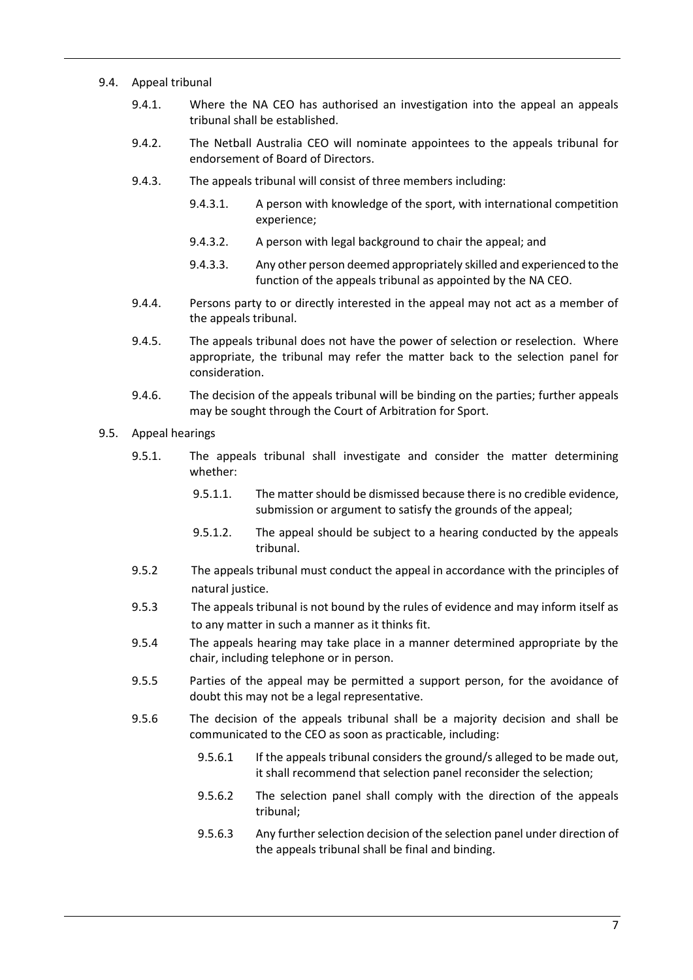#### 9.4. Appeal tribunal

- 9.4.1. Where the NA CEO has authorised an investigation into the appeal an appeals tribunal shall be established.
- 9.4.2. The Netball Australia CEO will nominate appointees to the appeals tribunal for endorsement of Board of Directors.
- 9.4.3. The appeals tribunal will consist of three members including:
	- 9.4.3.1. A person with knowledge of the sport, with international competition experience;
	- 9.4.3.2. A person with legal background to chair the appeal; and
	- 9.4.3.3. Any other person deemed appropriately skilled and experienced to the function of the appeals tribunal as appointed by the NA CEO.
- 9.4.4. Persons party to or directly interested in the appeal may not act as a member of the appeals tribunal.
- 9.4.5. The appeals tribunal does not have the power of selection or reselection. Where appropriate, the tribunal may refer the matter back to the selection panel for consideration.
- 9.4.6. The decision of the appeals tribunal will be binding on the parties; further appeals may be sought through the Court of Arbitration for Sport.

#### 9.5. Appeal hearings

- 9.5.1. The appeals tribunal shall investigate and consider the matter determining whether:
	- 9.5.1.1. The matter should be dismissed because there is no credible evidence, submission or argument to satisfy the grounds of the appeal;
	- 9.5.1.2. The appeal should be subject to a hearing conducted by the appeals tribunal.
- 9.5.2 The appeals tribunal must conduct the appeal in accordance with the principles of natural justice.
- 9.5.3 The appeals tribunal is not bound by the rules of evidence and may inform itself as to any matter in such a manner as it thinks fit.
- 9.5.4 The appeals hearing may take place in a manner determined appropriate by the chair, including telephone or in person.
- 9.5.5 Parties of the appeal may be permitted a support person, for the avoidance of doubt this may not be a legal representative.
- 9.5.6 The decision of the appeals tribunal shall be a majority decision and shall be communicated to the CEO as soon as practicable, including:
	- 9.5.6.1 If the appeals tribunal considers the ground/s alleged to be made out, it shall recommend that selection panel reconsider the selection;
	- 9.5.6.2 The selection panel shall comply with the direction of the appeals tribunal;
	- 9.5.6.3 Any further selection decision of the selection panel under direction of the appeals tribunal shall be final and binding.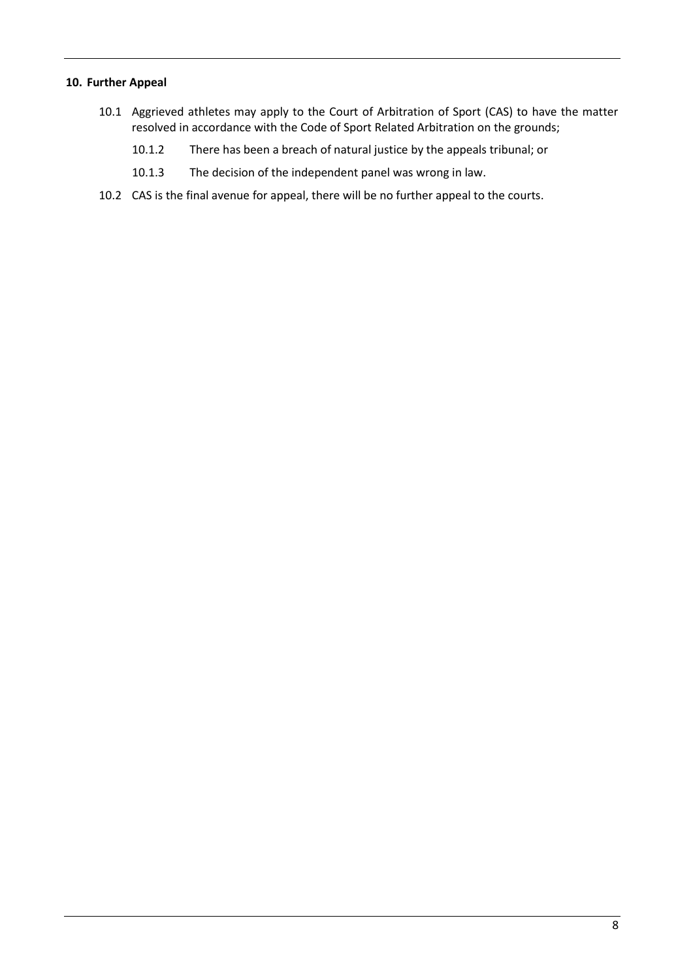## <span id="page-8-0"></span>**10. Further Appeal**

- 10.1 Aggrieved athletes may apply to the Court of Arbitration of Sport (CAS) to have the matter resolved in accordance with the Code of Sport Related Arbitration on the grounds;
	- 10.1.2 There has been a breach of natural justice by the appeals tribunal; or
	- 10.1.3 The decision of the independent panel was wrong in law.
- 10.2 CAS is the final avenue for appeal, there will be no further appeal to the courts.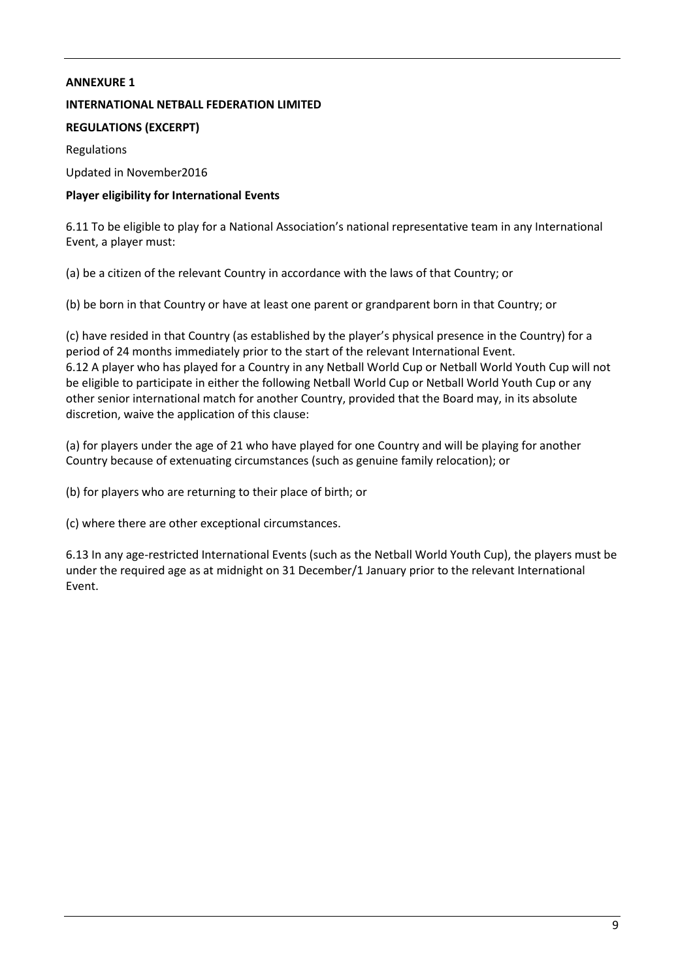## <span id="page-9-0"></span>**ANNEXURE 1**

## **INTERNATIONAL NETBALL FEDERATION LIMITED**

# **REGULATIONS (EXCERPT)**

Regulations

Updated in November2016

# **Player eligibility for International Events**

6.11 To be eligible to play for a National Association's national representative team in any International Event, a player must:

(a) be a citizen of the relevant Country in accordance with the laws of that Country; or

(b) be born in that Country or have at least one parent or grandparent born in that Country; or

(c) have resided in that Country (as established by the player's physical presence in the Country) for a period of 24 months immediately prior to the start of the relevant International Event. 6.12 A player who has played for a Country in any Netball World Cup or Netball World Youth Cup will not be eligible to participate in either the following Netball World Cup or Netball World Youth Cup or any other senior international match for another Country, provided that the Board may, in its absolute discretion, waive the application of this clause:

(a) for players under the age of 21 who have played for one Country and will be playing for another Country because of extenuating circumstances (such as genuine family relocation); or

(b) for players who are returning to their place of birth; or

(c) where there are other exceptional circumstances.

6.13 In any age-restricted International Events (such as the Netball World Youth Cup), the players must be under the required age as at midnight on 31 December/1 January prior to the relevant International Event.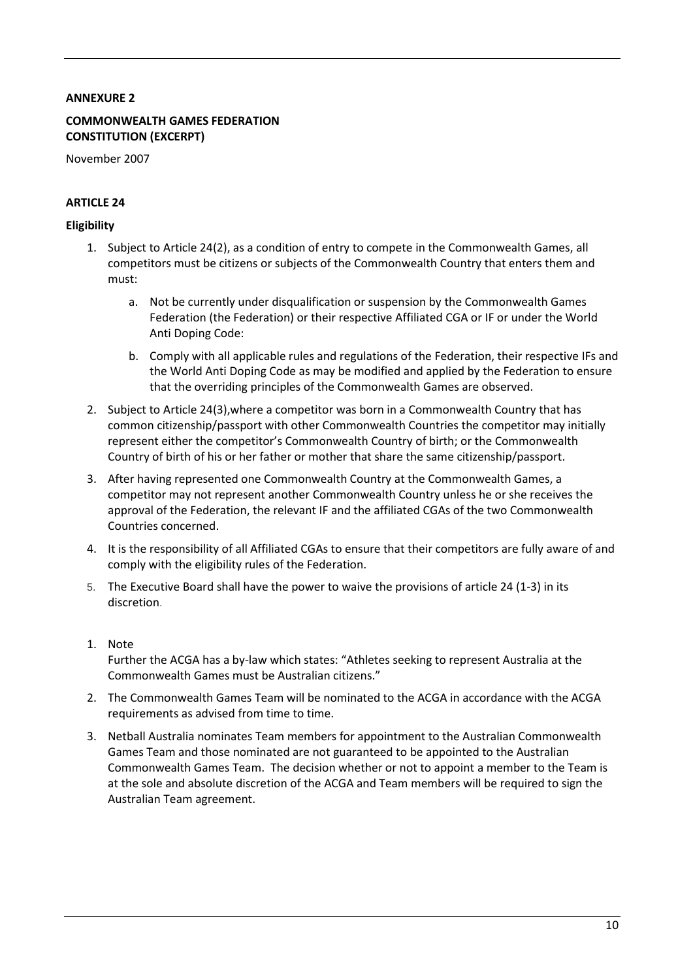## <span id="page-10-0"></span>**ANNEXURE 2**

## **COMMONWEALTH GAMES FEDERATION CONSTITUTION (EXCERPT)**

November 2007

## **ARTICLE 24**

#### **Eligibility**

- 1. Subject to Article 24(2), as a condition of entry to compete in the Commonwealth Games, all competitors must be citizens or subjects of the Commonwealth Country that enters them and must:
	- a. Not be currently under disqualification or suspension by the Commonwealth Games Federation (the Federation) or their respective Affiliated CGA or IF or under the World Anti Doping Code:
	- b. Comply with all applicable rules and regulations of the Federation, their respective IFs and the World Anti Doping Code as may be modified and applied by the Federation to ensure that the overriding principles of the Commonwealth Games are observed.
- 2. Subject to Article 24(3),where a competitor was born in a Commonwealth Country that has common citizenship/passport with other Commonwealth Countries the competitor may initially represent either the competitor's Commonwealth Country of birth; or the Commonwealth Country of birth of his or her father or mother that share the same citizenship/passport.
- 3. After having represented one Commonwealth Country at the Commonwealth Games, a competitor may not represent another Commonwealth Country unless he or she receives the approval of the Federation, the relevant IF and the affiliated CGAs of the two Commonwealth Countries concerned.
- 4. It is the responsibility of all Affiliated CGAs to ensure that their competitors are fully aware of and comply with the eligibility rules of the Federation.
- 5. The Executive Board shall have the power to waive the provisions of article 24 (1-3) in its discretion.
- 1. Note Further the ACGA has a by-law which states: "Athletes seeking to represent Australia at the Commonwealth Games must be Australian citizens."
- 2. The Commonwealth Games Team will be nominated to the ACGA in accordance with the ACGA requirements as advised from time to time.
- 3. Netball Australia nominates Team members for appointment to the Australian Commonwealth Games Team and those nominated are not guaranteed to be appointed to the Australian Commonwealth Games Team. The decision whether or not to appoint a member to the Team is at the sole and absolute discretion of the ACGA and Team members will be required to sign the Australian Team agreement.